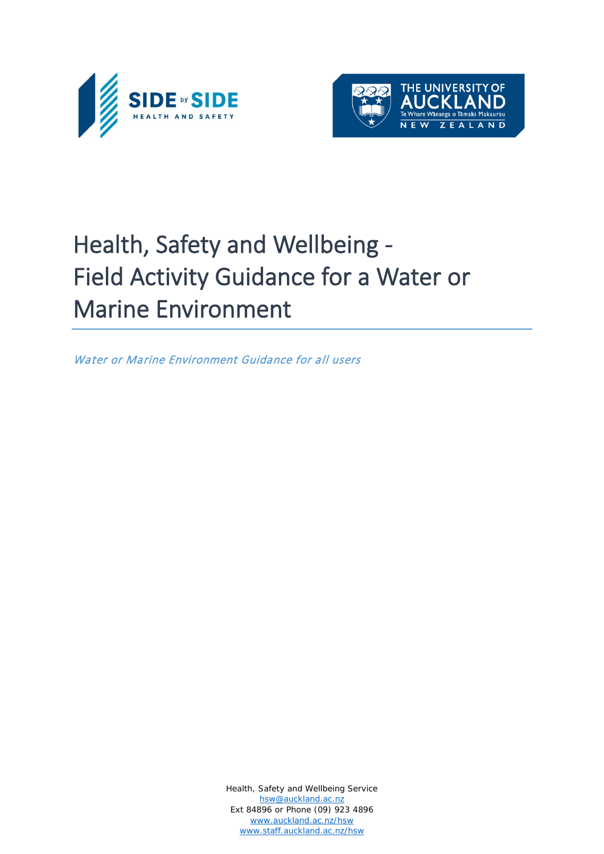



# Health, Safety and Wellbeing - Field Activity Guidance for a Water or Marine Environment

Water or Marine Environment Guidance for all users

Health, Safety and Wellbeing Service [hsw@auckland.ac.nz](mailto:hsw@auckland.ac.nz) Ext 84896 or Phone (09) 923 4896 [www.auckland.ac.nz/hsw](http://www.auckland.ac.nz/hsw) [www.staff.auckland.ac.nz/hsw](http://www.staff.auckland.ac.nz/hsw)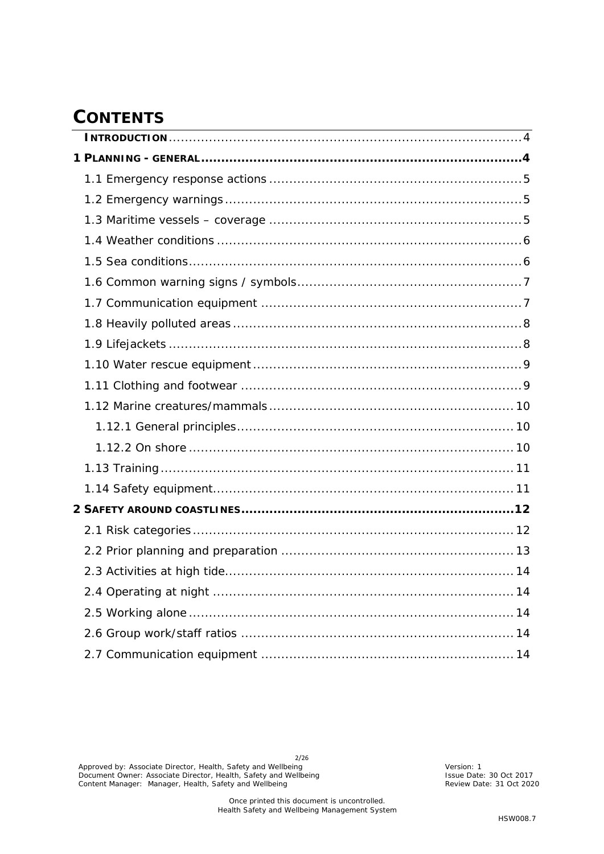# **CONTENTS**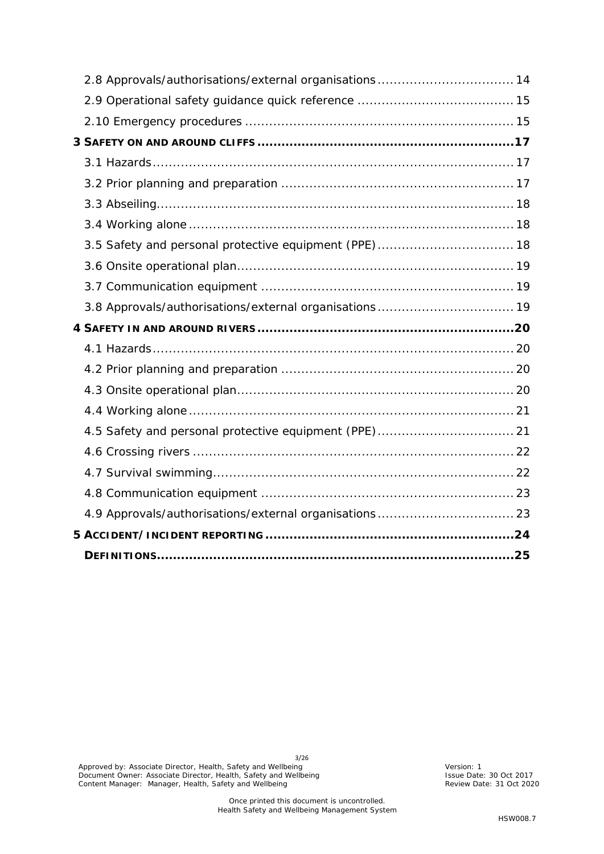| 2.8 Approvals/authorisations/external organisations 14 |  |
|--------------------------------------------------------|--|
|                                                        |  |
|                                                        |  |
|                                                        |  |
|                                                        |  |
|                                                        |  |
|                                                        |  |
|                                                        |  |
|                                                        |  |
|                                                        |  |
|                                                        |  |
|                                                        |  |
|                                                        |  |
|                                                        |  |
|                                                        |  |
|                                                        |  |
|                                                        |  |
|                                                        |  |
|                                                        |  |
|                                                        |  |
|                                                        |  |
|                                                        |  |
|                                                        |  |
|                                                        |  |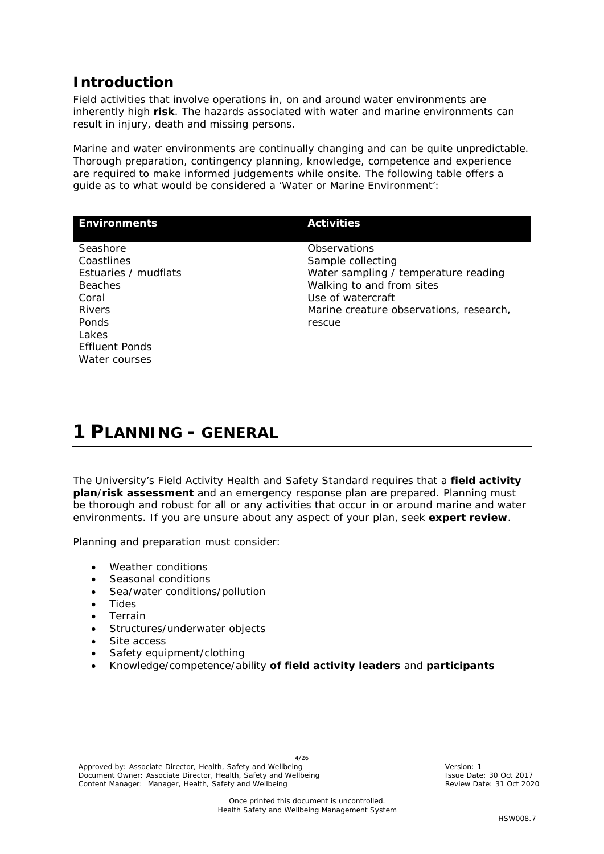# <span id="page-3-0"></span>**Introduction**

Field activities that involve operations in, on and around water environments are inherently high **risk**. The hazards associated with water and marine environments can result in injury, death and missing persons.

Marine and water environments are continually changing and can be quite unpredictable. Thorough preparation, contingency planning, knowledge, competence and experience are required to make informed judgements while onsite. The following table offers a guide as to what would be considered a 'Water or Marine Environment':

| <b>Environments</b>                                                                                                                                    | <b>Activities</b>                                                                                                                                                                |
|--------------------------------------------------------------------------------------------------------------------------------------------------------|----------------------------------------------------------------------------------------------------------------------------------------------------------------------------------|
| Seashore<br>Coastlines<br>Estuaries / mudflats<br><b>Beaches</b><br>Coral<br><b>Rivers</b><br>Ponds<br>Lakes<br><b>Effluent Ponds</b><br>Water courses | Observations<br>Sample collecting<br>Water sampling / temperature reading<br>Walking to and from sites<br>Use of watercraft<br>Marine creature observations, research,<br>rescue |

# <span id="page-3-1"></span>**1 PLANNING - GENERAL**

The University's Field Activity Health and Safety Standard requires that a **field activity plan**/**risk assessment** and an emergency response plan are prepared. Planning must be thorough and robust for all or any activities that occur in or around marine and water environments. If you are unsure about any aspect of your plan, seek **expert review**.

Planning and preparation must consider:

- Weather conditions
- Seasonal conditions
- Sea/water conditions/pollution
- Tides
- Terrain
- Structures/underwater objects
- Site access
- Safety equipment/clothing
- Knowledge/competence/ability **of field activity leaders** and **participants**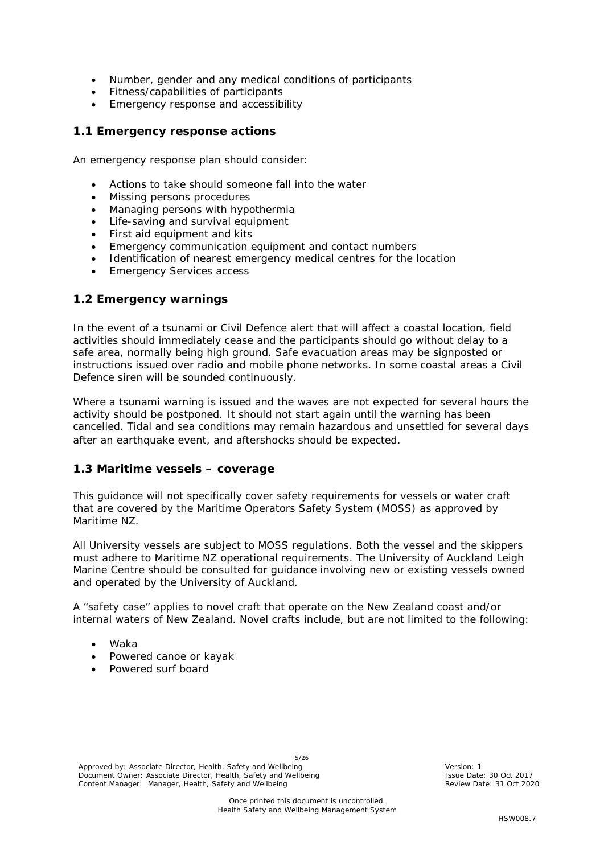- Number, gender and any medical conditions of participants
- Fitness/capabilities of participants
- Emergency response and accessibility

#### <span id="page-4-0"></span>**1.1 Emergency response actions**

An emergency response plan should consider:

- Actions to take should someone fall into the water
- Missing persons procedures
- Managing persons with hypothermia
- Life-saving and survival equipment
- First aid equipment and kits
- Emergency communication equipment and contact numbers
- Identification of nearest emergency medical centres for the location
- **Emergency Services access**

#### <span id="page-4-1"></span>**1.2 Emergency warnings**

In the event of a tsunami or Civil Defence alert that will affect a coastal location, field activities should immediately cease and the participants should go without delay to a safe area, normally being high ground. Safe evacuation areas may be signposted or instructions issued over radio and mobile phone networks. In some coastal areas a Civil Defence siren will be sounded continuously.

Where a tsunami warning is issued and the waves are not expected for several hours the activity should be postponed. It should not start again until the warning has been cancelled. Tidal and sea conditions may remain hazardous and unsettled for several days after an earthquake event, and aftershocks should be expected.

#### <span id="page-4-2"></span>**1.3 Maritime vessels – coverage**

This guidance will not specifically cover safety requirements for vessels or water craft that are covered by the Maritime Operators Safety System (MOSS) as approved by Maritime NZ.

All University vessels are subject to MOSS regulations. Both the vessel and the skippers must adhere to Maritime NZ operational requirements. The University of Auckland Leigh Marine Centre should be consulted for guidance involving new or existing vessels owned and operated by the University of Auckland.

A "safety case" applies to novel craft that operate on the New Zealand coast and/or internal waters of New Zealand. Novel crafts include, but are not limited to the following:

- Waka
- Powered canoe or kayak
- Powered surf board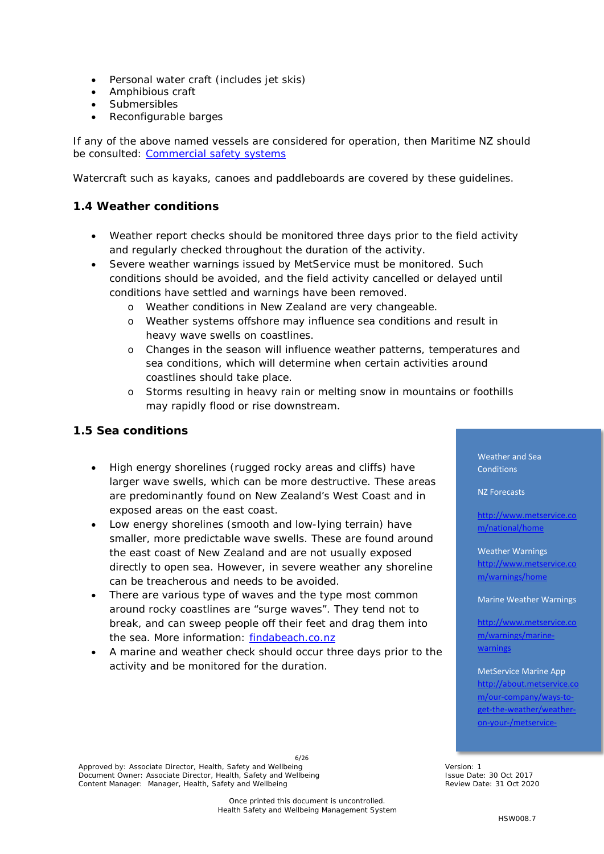- Personal water craft (includes jet skis)
- Amphibious craft
- **Submersibles**
- Reconfigurable barges

If any of the above named vessels are considered for operation, then Maritime NZ should be consulted: [Commercial safety systems](http://www.maritimenz.govt.nz/Commercial/Safety-management-systems/Safety-case.asp)

Watercraft such as kayaks, canoes and paddleboards are covered by these guidelines.

# <span id="page-5-0"></span>**1.4 Weather conditions**

- Weather report checks should be monitored three days prior to the field activity and regularly checked throughout the duration of the activity.
- Severe weather warnings issued by MetService must be monitored. Such conditions should be avoided, and the field activity cancelled or delayed until conditions have settled and warnings have been removed.
	- Weather conditions in New Zealand are very changeable.
	- o Weather systems offshore may influence sea conditions and result in heavy wave swells on coastlines.
	- o Changes in the season will influence weather patterns, temperatures and sea conditions, which will determine when certain activities around coastlines should take place.
	- o Storms resulting in heavy rain or melting snow in mountains or foothills may rapidly flood or rise downstream.

#### <span id="page-5-1"></span>**1.5 Sea conditions**

- High energy shorelines (rugged rocky areas and cliffs) have larger wave swells, which can be more destructive. These areas are predominantly found on New Zealand's West Coast and in exposed areas on the east coast.
- Low energy shorelines (smooth and low-lying terrain) have smaller, more predictable wave swells. These are found around the east coast of New Zealand and are not usually exposed directly to open sea. However, in severe weather any shoreline can be treacherous and needs to be avoided.
- There are various type of waves and the type most common around rocky coastlines are "surge waves". They tend not to break, and can sweep people off their feet and drag them into the sea. More information: [findabeach.co.nz](http://www.findabeach.co.nz/besafe/hazards/waves/)
- A marine and weather check should occur three days prior to the activity and be monitored for the duration.

Weather and Sea **Conditions** 

NZ Forecasts

[http://www.metservice.co](http://www.metservice.com/national/home) [m/national/home](http://www.metservice.com/national/home)

Weather Warnings [http://www.metservice.co](http://www.metservice.com/warnings/home) [m/warnings/home](http://www.metservice.com/warnings/home)

Marine Weather Warnings

[http://www.metservice.co](http://www.metservice.com/warnings/marine-warnings) [m/warnings/marine](http://www.metservice.com/warnings/marine-warnings)[warnings](http://www.metservice.com/warnings/marine-warnings)

MetService Marine App http://about.metservice [m/our-company/ways-to](http://about.metservice.com/our-company/ways-to-get-the-weather/weather-on-your-/metservice-marine-app/)[get-the-weather/weather](http://about.metservice.com/our-company/ways-to-get-the-weather/weather-on-your-/metservice-marine-app/)[on-your-/metservice-](http://about.metservice.com/our-company/ways-to-get-the-weather/weather-on-your-/metservice-marine-app/)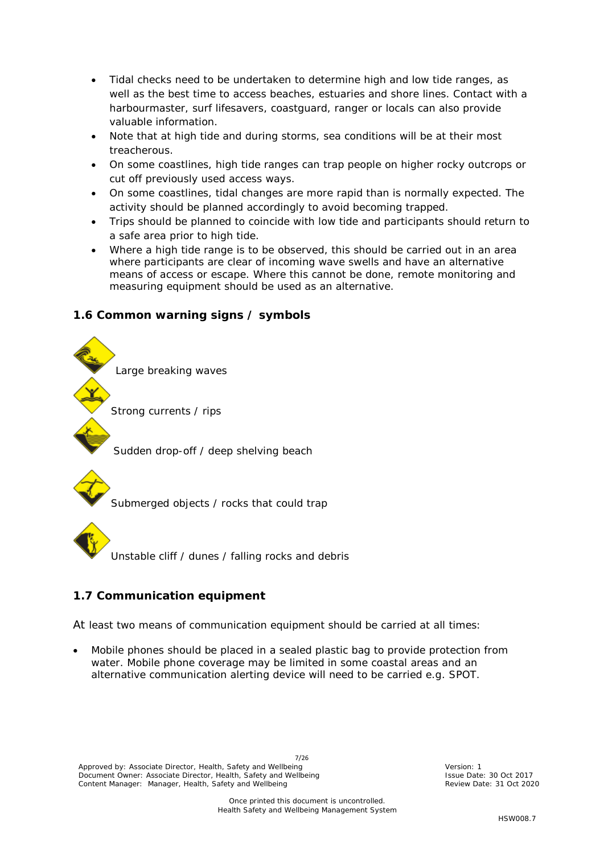- Tidal checks need to be undertaken to determine high and low tide ranges, as well as the best time to access beaches, estuaries and shore lines. Contact with a harbourmaster, surf lifesavers, coastguard, ranger or locals can also provide valuable information.
- Note that at high tide and during storms, sea conditions will be at their most treacherous.
- On some coastlines, high tide ranges can trap people on higher rocky outcrops or cut off previously used access ways.
- On some coastlines, tidal changes are more rapid than is normally expected. The activity should be planned accordingly to avoid becoming trapped.
- Trips should be planned to coincide with low tide and participants should return to a safe area prior to high tide.
- Where a high tide range is to be observed, this should be carried out in an area where participants are clear of incoming wave swells and have an alternative means of access or escape. Where this cannot be done, remote monitoring and measuring equipment should be used as an alternative.

#### <span id="page-6-0"></span>**1.6 Common warning signs / symbols**



Submerged objects / rocks that could trap

Unstable cliff / dunes / falling rocks and debris

# <span id="page-6-1"></span>**1.7 Communication equipment**

At least two means of communication equipment should be carried at all times:

• Mobile phones should be placed in a sealed plastic bag to provide protection from water. Mobile phone coverage may be limited in some coastal areas and an alternative communication alerting device will need to be carried e.g. SPOT.

7/26 Approved by: Associate Director, Health, Safety and Wellbeing Version: 1 Nersion: 1 Document Owner: Associate Director, Health, Safety and Wellbeing **Interpreterate: 19 Oct 2017** Issue Date: 30 Oct 2017 Content Manager: Manager, Health, Safety and Wellbeing Review Date: 31 Oct 2020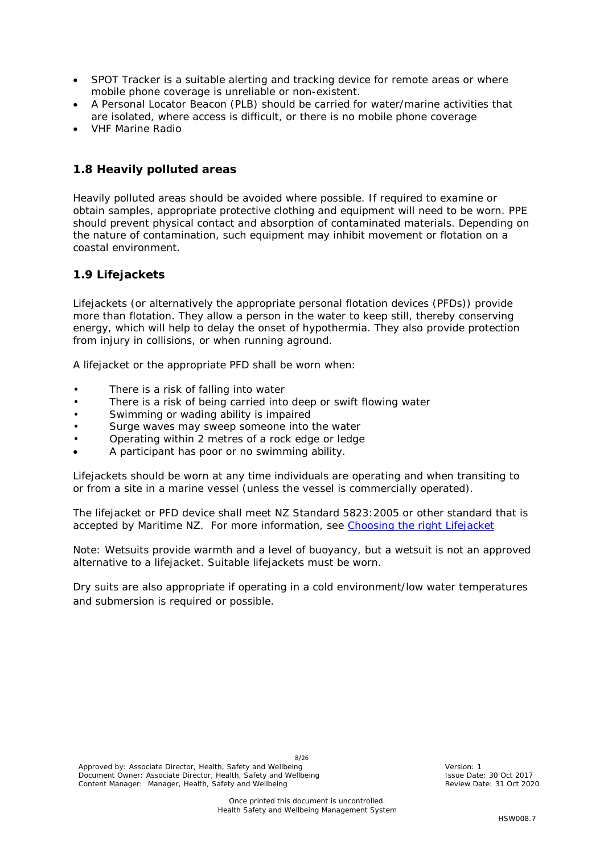- SPOT Tracker is a suitable alerting and tracking device for remote areas or where mobile phone coverage is unreliable or non-existent.
- A Personal Locator Beacon (PLB) should be carried for water/marine activities that are isolated, where access is difficult, or there is no mobile phone coverage
- VHF Marine Radio

#### <span id="page-7-0"></span>**1.8 Heavily polluted areas**

Heavily polluted areas should be avoided where possible. If required to examine or obtain samples, appropriate protective clothing and equipment will need to be worn. PPE should prevent physical contact and absorption of contaminated materials. Depending on the nature of contamination, such equipment may inhibit movement or flotation on a coastal environment.

#### <span id="page-7-1"></span>**1.9 Lifejackets**

Lifejackets (or alternatively the appropriate personal flotation devices (PFDs)) provide more than flotation. They allow a person in the water to keep still, thereby conserving energy, which will help to delay the onset of hypothermia. They also provide protection from injury in collisions, or when running aground.

A lifejacket or the appropriate PFD shall be worn when:

- There is a risk of falling into water
- There is a risk of being carried into deep or swift flowing water
- Swimming or wading ability is impaired
- Surge waves may sweep someone into the water
- Operating within 2 metres of a rock edge or ledge
- A participant has poor or no swimming ability.

Lifejackets should be worn at any time individuals are operating and when transiting to or from a site in a marine vessel (unless the vessel is commercially operated).

The lifejacket or PFD device shall meet NZ Standard 5823:2005 or other standard that is accepted by Maritime NZ. For more information, see [Choosing the right Lifejacket](http://www.maritimenz.govt.nz/recreational-boating/Lifejackets/Types-of-lifejacket-and-PFD.asp)

Note: Wetsuits provide warmth and a level of buoyancy, but a wetsuit is not an approved alternative to a lifejacket. Suitable lifejackets must be worn.

Dry suits are also appropriate if operating in a cold environment/low water temperatures and submersion is required or possible.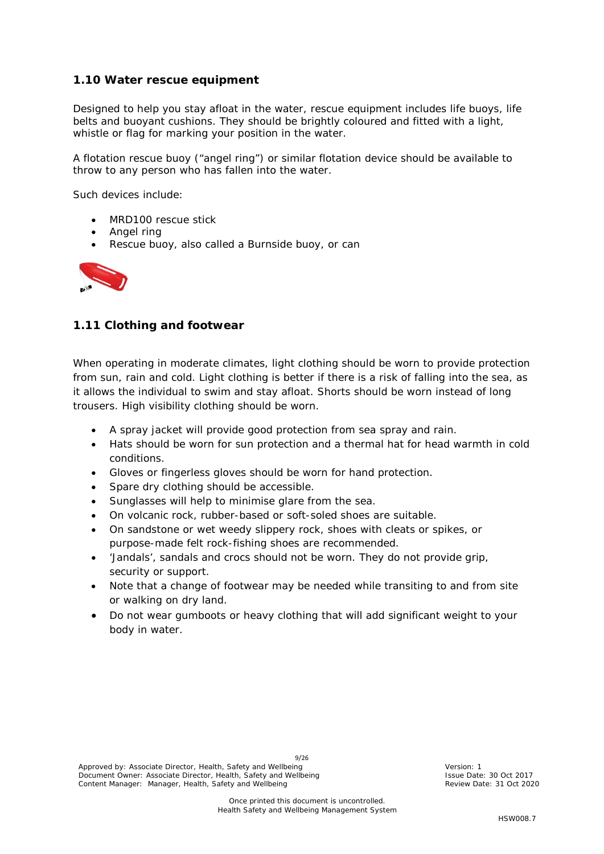#### <span id="page-8-0"></span>**1.10 Water rescue equipment**

Designed to help you stay afloat in the water, rescue equipment includes life buoys, life belts and buoyant cushions. They should be brightly coloured and fitted with a light, whistle or flag for marking your position in the water.

A flotation rescue buoy ("angel ring") or similar flotation device should be available to throw to any person who has fallen into the water.

Such devices include:

- MRD100 rescue stick
- Angel ring
- Rescue buoy, also called a Burnside buoy, or can



# <span id="page-8-1"></span>**1.11 Clothing and footwear**

When operating in moderate climates, light clothing should be worn to provide protection from sun, rain and cold. Light clothing is better if there is a risk of falling into the sea, as it allows the individual to swim and stay afloat. Shorts should be worn instead of long trousers. High visibility clothing should be worn.

- A spray jacket will provide good protection from sea spray and rain.
- Hats should be worn for sun protection and a thermal hat for head warmth in cold conditions.
- Gloves or fingerless gloves should be worn for hand protection.
- Spare dry clothing should be accessible.
- Sunglasses will help to minimise glare from the sea.
- On volcanic rock, rubber-based or soft-soled shoes are suitable.
- On sandstone or wet weedy slippery rock, shoes with cleats or spikes, or purpose-made felt rock-fishing shoes are recommended.
- 'Jandals', sandals and crocs should not be worn. They do not provide grip, security or support.
- Note that a change of footwear may be needed while transiting to and from site or walking on dry land.
- Do not wear gumboots or heavy clothing that will add significant weight to your body in water.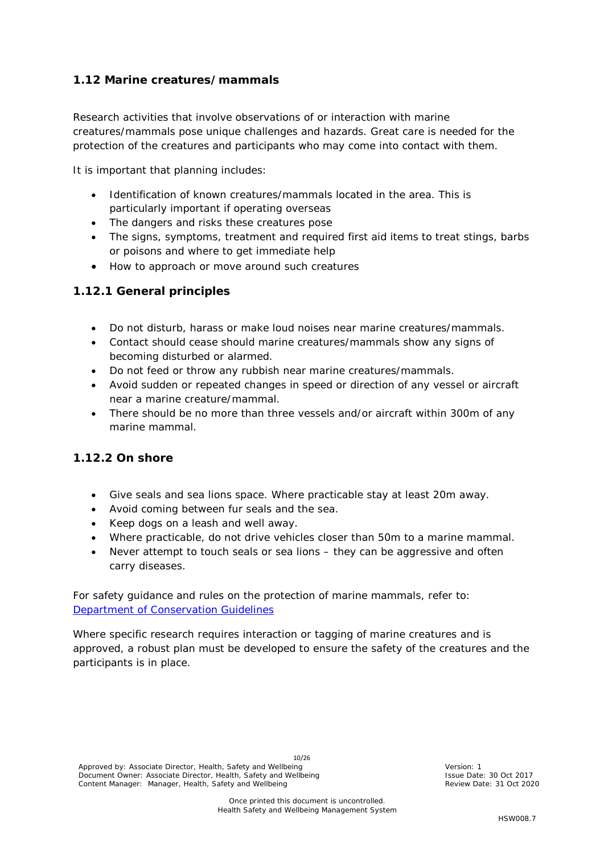# <span id="page-9-0"></span>**1.12 Marine creatures/mammals**

Research activities that involve observations of or interaction with marine creatures/mammals pose unique challenges and hazards. Great care is needed for the protection of the creatures and participants who may come into contact with them.

It is important that planning includes:

- Identification of known creatures/mammals located in the area. This is particularly important if operating overseas
- The dangers and risks these creatures pose
- The signs, symptoms, treatment and required first aid items to treat stings, barbs or poisons and where to get immediate help
- How to approach or move around such creatures

# <span id="page-9-1"></span>*1.12.1 General principles*

- Do not disturb, harass or make loud noises near marine creatures/mammals.
- Contact should cease should marine creatures/mammals show any signs of becoming disturbed or alarmed.
- Do not feed or throw any rubbish near marine creatures/mammals.
- Avoid sudden or repeated changes in speed or direction of any vessel or aircraft near a marine creature/mammal.
- There should be no more than three vessels and/or aircraft within 300m of any marine mammal.

# <span id="page-9-2"></span>*1.12.2 On shore*

- Give seals and sea lions space. Where practicable stay at least 20m away.
- Avoid coming between fur seals and the sea.
- Keep dogs on a leash and well away.
- Where practicable, do not drive vehicles closer than 50m to a marine mammal.
- Never attempt to touch seals or sea lions they can be aggressive and often carry diseases.

For safety guidance and rules on the protection of marine mammals, refer to: **[Department of Conservation Guidelines](http://www.doc.govt.nz/nature/native-animals/marine-mammals/sharing-our-coasts-with-marine-mammals/)** 

Where specific research requires interaction or tagging of marine creatures and is approved, a robust plan must be developed to ensure the safety of the creatures and the participants is in place.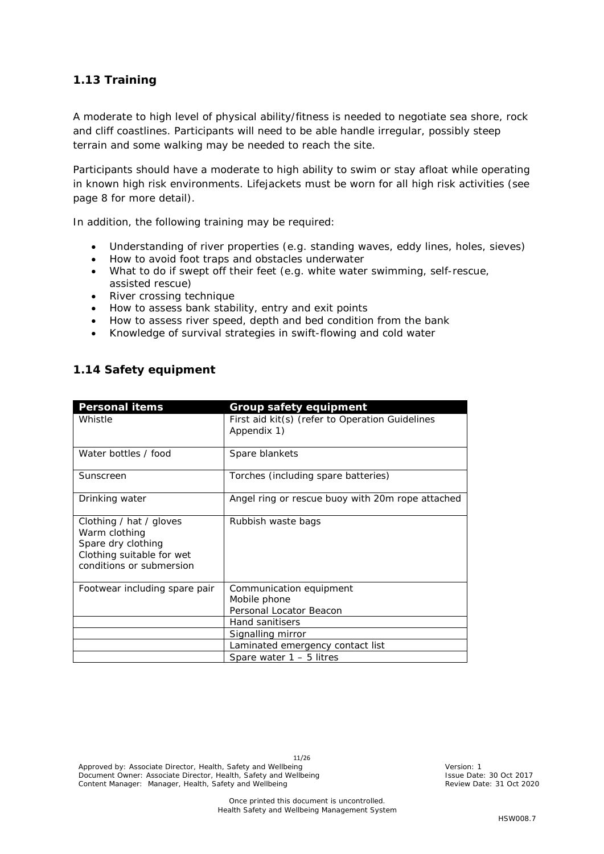#### <span id="page-10-0"></span>**1.13 Training**

A moderate to high level of physical ability/fitness is needed to negotiate sea shore, rock and cliff coastlines. Participants will need to be able handle irregular, possibly steep terrain and some walking may be needed to reach the site.

Participants should have a moderate to high ability to swim or stay afloat while operating in known high risk environments. Lifejackets must be worn for all high risk activities (see page 8 for more detail).

In addition, the following training may be required:

- Understanding of river properties (e.g. standing waves, eddy lines, holes, sieves)
- How to avoid foot traps and obstacles underwater
- What to do if swept off their feet (e.g. white water swimming, self-rescue, assisted rescue)
- River crossing technique
- How to assess bank stability, entry and exit points
- How to assess river speed, depth and bed condition from the bank
- Knowledge of survival strategies in swift-flowing and cold water

#### <span id="page-10-1"></span>**1.14 Safety equipment**

| <b>Personal items</b>                                                                                                   | <b>Group safety equipment</b>                                      |
|-------------------------------------------------------------------------------------------------------------------------|--------------------------------------------------------------------|
| Whistle                                                                                                                 | First aid kit(s) (refer to Operation Guidelines<br>Appendix 1)     |
| Water bottles / food                                                                                                    | Spare blankets                                                     |
| Sunscreen                                                                                                               | Torches (including spare batteries)                                |
| Drinking water                                                                                                          | Angel ring or rescue buoy with 20m rope attached                   |
| Clothing / hat / gloves<br>Warm clothing<br>Spare dry clothing<br>Clothing suitable for wet<br>conditions or submersion | Rubbish waste bags                                                 |
| Footwear including spare pair                                                                                           | Communication equipment<br>Mobile phone<br>Personal Locator Beacon |
|                                                                                                                         | <b>Hand sanitisers</b>                                             |
|                                                                                                                         | Signalling mirror                                                  |
|                                                                                                                         | Laminated emergency contact list                                   |
|                                                                                                                         | Spare water $1 - 5$ litres                                         |

<span id="page-10-2"></span>11/26 Approved by: Associate Director, Health, Safety and Wellbeing Version: 1 Nersion: 1 Document Owner: Associate Director, Health, Safety and Wellbeing **Interpreterate: 19 Oct 2017** Issue Date: 30 Oct 2017 Content Manager: Manager, Health, Safety and Wellbeing Review Date: 31 Oct 2020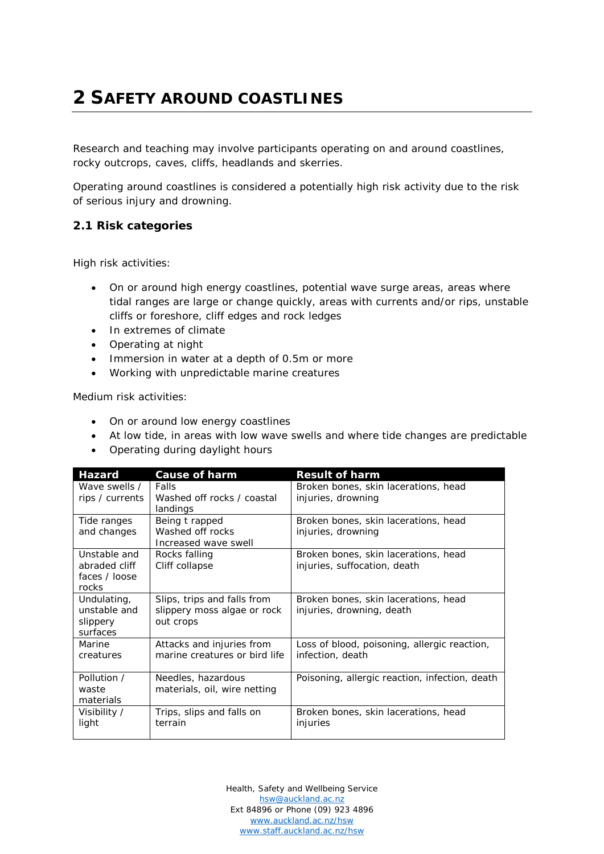# **2 SAFETY AROUND COASTLINES**

Research and teaching may involve participants operating on and around coastlines, rocky outcrops, caves, cliffs, headlands and skerries.

Operating around coastlines is considered a potentially high risk activity due to the risk of serious injury and drowning.

#### <span id="page-11-0"></span>**2.1 Risk categories**

High risk activities:

- On or around high energy coastlines, potential wave surge areas, areas where tidal ranges are large or change quickly, areas with currents and/or rips, unstable cliffs or foreshore, cliff edges and rock ledges
- In extremes of climate
- Operating at night
- Immersion in water at a depth of 0.5m or more
- Working with unpredictable marine creatures

Medium risk activities:

- On or around low energy coastlines
- At low tide, in areas with low wave swells and where tide changes are predictable
- Operating during daylight hours

| <b>Hazard</b>                                           | <b>Cause of harm</b>                                                    | <b>Result of harm</b>                                                |
|---------------------------------------------------------|-------------------------------------------------------------------------|----------------------------------------------------------------------|
| Wave swells /<br>rips / currents                        | Falls<br>Washed off rocks / coastal<br>landings                         | Broken bones, skin lacerations, head<br>injuries, drowning           |
| Tide ranges<br>and changes                              | Being t rapped<br>Washed off rocks<br>Increased wave swell              | Broken bones, skin lacerations, head<br>injuries, drowning           |
| Unstable and<br>abraded cliff<br>faces / loose<br>rocks | Rocks falling<br>Cliff collapse                                         | Broken bones, skin lacerations, head<br>injuries, suffocation, death |
| Undulating,<br>unstable and<br>slippery<br>surfaces     | Slips, trips and falls from<br>slippery moss algae or rock<br>out crops | Broken bones, skin lacerations, head<br>injuries, drowning, death    |
| Marine<br>creatures                                     | Attacks and injuries from<br>marine creatures or bird life              | Loss of blood, poisoning, allergic reaction,<br>infection, death     |
| Pollution /<br>waste<br>materials                       | Needles, hazardous<br>materials, oil, wire netting                      | Poisoning, allergic reaction, infection, death                       |
| Visibility /<br>light                                   | Trips, slips and falls on<br>terrain                                    | Broken bones, skin lacerations, head<br>injuries                     |

Health, Safety and Wellbeing Service [hsw@auckland.ac.nz](mailto:hsw@auckland.ac.nz) Ext 84896 or Phone (09) 923 4896 [www.auckland.ac.nz/hsw](http://www.auckland.ac.nz/hsw) [www.staff.auckland.ac.nz/hsw](http://www.staff.auckland.ac.nz/hsw)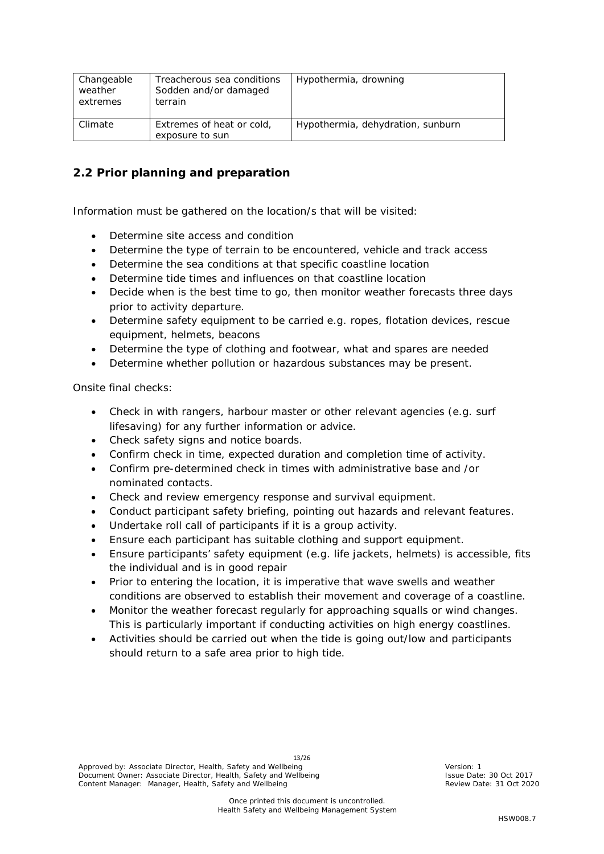| Changeable<br>weather<br>extremes | Treacherous sea conditions<br>Sodden and/or damaged<br>terrain | Hypothermia, drowning             |
|-----------------------------------|----------------------------------------------------------------|-----------------------------------|
| Climate                           | Extremes of heat or cold,<br>exposure to sun                   | Hypothermia, dehydration, sunburn |

# <span id="page-12-0"></span>**2.2 Prior planning and preparation**

Information must be gathered on the location/s that will be visited:

- Determine site access and condition
- Determine the type of terrain to be encountered, vehicle and track access
- Determine the sea conditions at that specific coastline location
- Determine tide times and influences on that coastline location
- Decide when is the best time to go, then monitor weather forecasts three days prior to activity departure.
- Determine safety equipment to be carried e.g. ropes, flotation devices, rescue equipment, helmets, beacons
- Determine the type of clothing and footwear, what and spares are needed
- Determine whether pollution or hazardous substances may be present.

Onsite final checks:

- Check in with rangers, harbour master or other relevant agencies (e.g. surf lifesaving) for any further information or advice.
- Check safety signs and notice boards.
- Confirm check in time, expected duration and completion time of activity.
- Confirm pre-determined check in times with administrative base and /or nominated contacts.
- Check and review emergency response and survival equipment.
- Conduct participant safety briefing, pointing out hazards and relevant features.
- Undertake roll call of participants if it is a group activity.
- Ensure each participant has suitable clothing and support equipment.
- Ensure participants' safety equipment (e.g. life jackets, helmets) is accessible, fits the individual and is in good repair
- Prior to entering the location, it is imperative that wave swells and weather conditions are observed to establish their movement and coverage of a coastline.
- Monitor the weather forecast regularly for approaching squalls or wind changes. This is particularly important if conducting activities on high energy coastlines.
- Activities should be carried out when the tide is going out/low and participants should return to a safe area prior to high tide.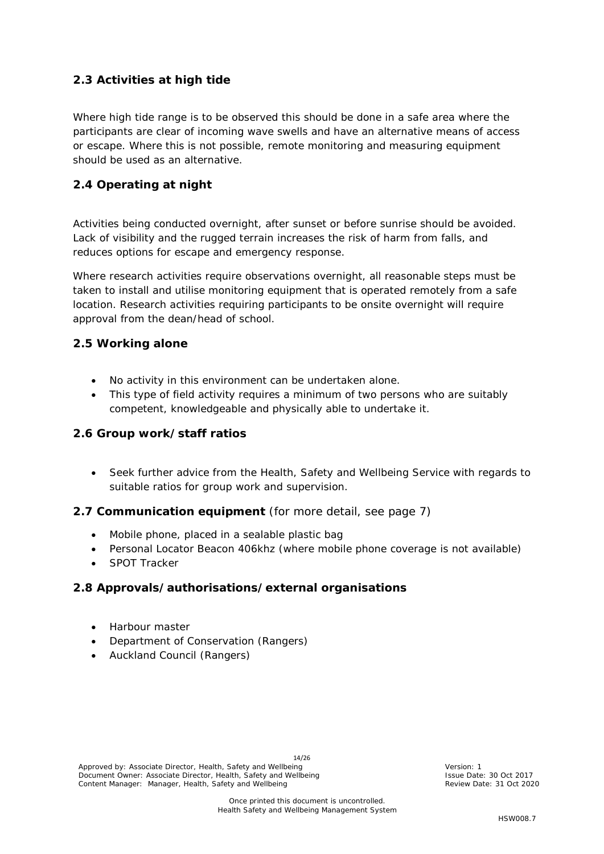# <span id="page-13-0"></span>**2.3 Activities at high tide**

Where high tide range is to be observed this should be done in a safe area where the participants are clear of incoming wave swells and have an alternative means of access or escape. Where this is not possible, remote monitoring and measuring equipment should be used as an alternative.

# <span id="page-13-1"></span>**2.4 Operating at night**

Activities being conducted overnight, after sunset or before sunrise should be avoided. Lack of visibility and the rugged terrain increases the risk of harm from falls, and reduces options for escape and emergency response.

Where research activities require observations overnight, all reasonable steps must be taken to install and utilise monitoring equipment that is operated remotely from a safe location. Research activities requiring participants to be onsite overnight will require approval from the dean/head of school.

#### <span id="page-13-2"></span>**2.5 Working alone**

- No activity in this environment can be undertaken alone.
- This type of field activity requires a minimum of two persons who are suitably competent, knowledgeable and physically able to undertake it.

#### <span id="page-13-3"></span>**2.6 Group work/staff ratios**

• Seek further advice from the Health, Safety and Wellbeing Service with regards to suitable ratios for group work and supervision.

#### <span id="page-13-4"></span>**2.7 Communication equipment** (for more detail, see page 7)

- Mobile phone, placed in a sealable plastic bag
- Personal Locator Beacon 406khz (where mobile phone coverage is not available)
- SPOT Tracker

#### <span id="page-13-5"></span>**2.8 Approvals/authorisations/external organisations**

- Harbour master
- Department of Conservation (Rangers)
- Auckland Council (Rangers)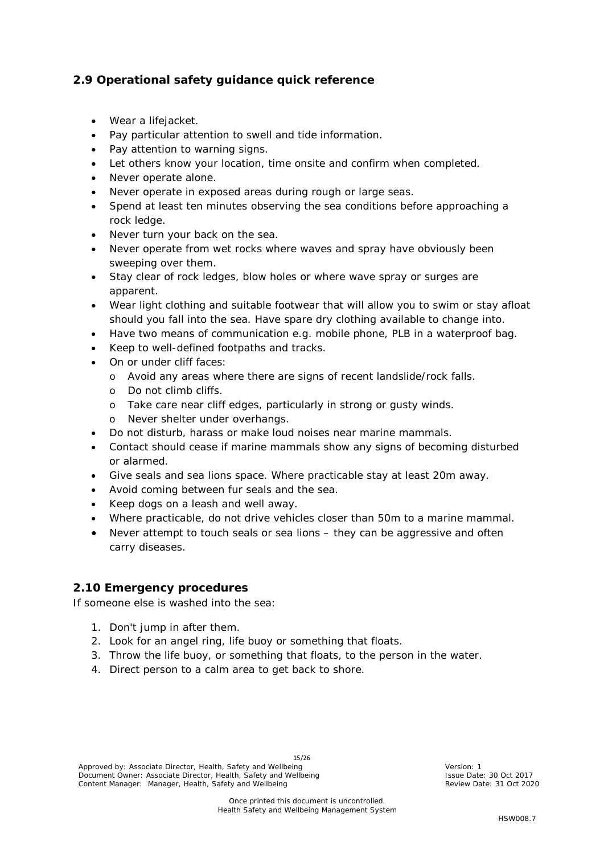# <span id="page-14-0"></span>**2.9 Operational safety guidance quick reference**

- Wear a lifejacket.
- Pay particular attention to swell and tide information.
- Pay attention to warning signs.
- Let others know your location, time onsite and confirm when completed.
- Never operate alone.
- Never operate in exposed areas during rough or large seas.
- Spend at least ten minutes observing the sea conditions before approaching a rock ledge.
- Never turn your back on the sea.
- Never operate from wet rocks where waves and spray have obviously been sweeping over them.
- Stay clear of rock ledges, blow holes or where wave spray or surges are apparent.
- Wear light clothing and suitable footwear that will allow you to swim or stay afloat should you fall into the sea. Have spare dry clothing available to change into.
- Have two means of communication e.g. mobile phone, PLB in a waterproof bag.
- Keep to well-defined footpaths and tracks.
- On or under cliff faces:
	- o Avoid any areas where there are signs of recent landslide/rock falls.
	- o Do not climb cliffs.
	- o Take care near cliff edges, particularly in strong or gusty winds.
	- o Never shelter under overhangs.
- Do not disturb, harass or make loud noises near marine mammals.
- Contact should cease if marine mammals show any signs of becoming disturbed or alarmed.
- Give seals and sea lions space. Where practicable stay at least 20m away.
- Avoid coming between fur seals and the sea.
- Keep dogs on a leash and well away.
- Where practicable, do not drive vehicles closer than 50m to a marine mammal.
- Never attempt to touch seals or sea lions they can be aggressive and often carry diseases.

# <span id="page-14-1"></span>**2.10 Emergency procedures**

If someone else is washed into the sea:

- 1. Don't jump in after them.
- 2. Look for an angel ring, life buoy or something that floats.
- 3. Throw the life buoy, or something that floats, to the person in the water.
- 4. Direct person to a calm area to get back to shore.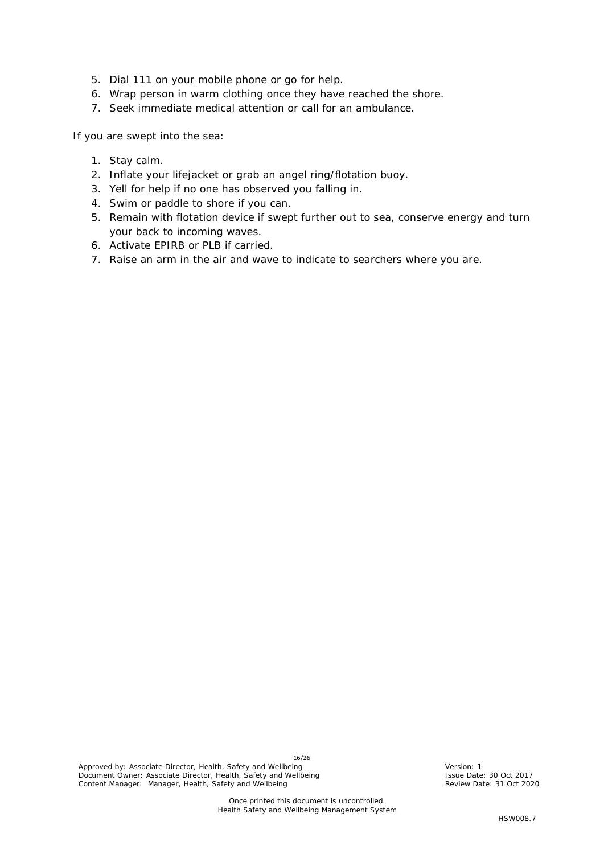- 5. Dial 111 on your mobile phone or go for help.
- 6. Wrap person in warm clothing once they have reached the shore.
- 7. Seek immediate medical attention or call for an ambulance.

If you are swept into the sea:

- 1. Stay calm.
- 2. Inflate your lifejacket or grab an angel ring/flotation buoy.
- 3. Yell for help if no one has observed you falling in.
- 4. Swim or paddle to shore if you can.
- 5. Remain with flotation device if swept further out to sea, conserve energy and turn your back to incoming waves.
- 6. Activate EPIRB or PLB if carried.
- 7. Raise an arm in the air and wave to indicate to searchers where you are.

16/26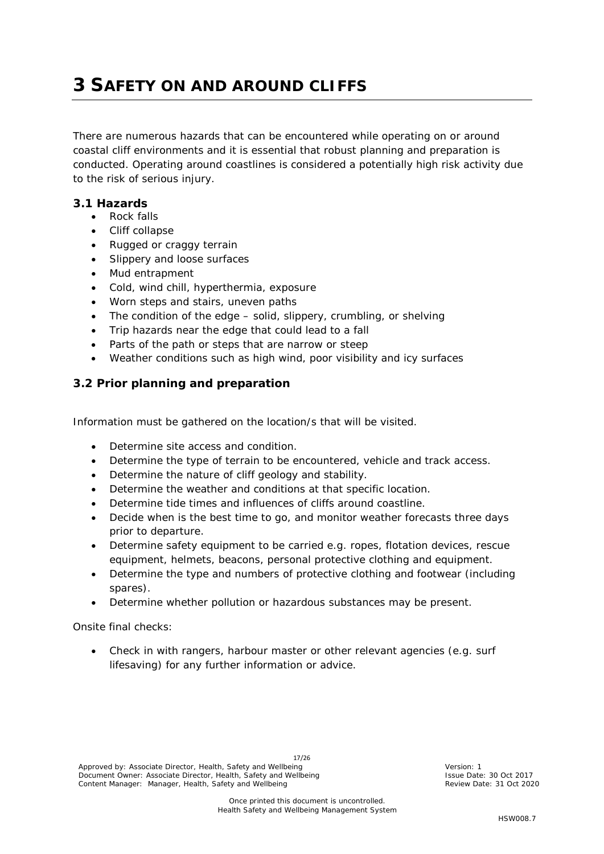# <span id="page-16-0"></span>**3 SAFETY ON AND AROUND CLIFFS**

There are numerous hazards that can be encountered while operating on or around coastal cliff environments and it is essential that robust planning and preparation is conducted. Operating around coastlines is considered a potentially high risk activity due to the risk of serious injury.

#### <span id="page-16-1"></span>**3.1 Hazards**

- Rock falls
- Cliff collapse
- Rugged or craggy terrain
- Slippery and loose surfaces
- Mud entrapment
- Cold, wind chill, hyperthermia, exposure
- Worn steps and stairs, uneven paths
- The condition of the edge solid, slippery, crumbling, or shelving
- Trip hazards near the edge that could lead to a fall
- Parts of the path or steps that are narrow or steep
- Weather conditions such as high wind, poor visibility and icy surfaces

# <span id="page-16-2"></span>**3.2 Prior planning and preparation**

Information must be gathered on the location/s that will be visited.

- Determine site access and condition.
- Determine the type of terrain to be encountered, vehicle and track access.
- Determine the nature of cliff geology and stability.
- Determine the weather and conditions at that specific location.
- Determine tide times and influences of cliffs around coastline.
- Decide when is the best time to go, and monitor weather forecasts three days prior to departure.
- Determine safety equipment to be carried e.g. ropes, flotation devices, rescue equipment, helmets, beacons, personal protective clothing and equipment.
- Determine the type and numbers of protective clothing and footwear (including spares).
- Determine whether pollution or hazardous substances may be present.

Onsite final checks:

• Check in with rangers, harbour master or other relevant agencies (e.g. surf lifesaving) for any further information or advice.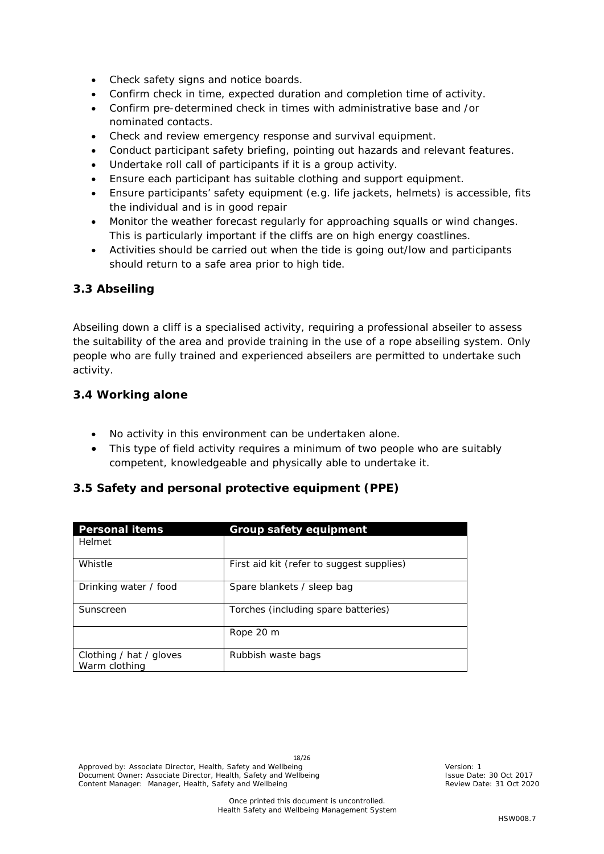- Check safety signs and notice boards.
- Confirm check in time, expected duration and completion time of activity.
- Confirm pre-determined check in times with administrative base and /or nominated contacts.
- Check and review emergency response and survival equipment.
- Conduct participant safety briefing, pointing out hazards and relevant features.
- Undertake roll call of participants if it is a group activity.
- Ensure each participant has suitable clothing and support equipment.
- Ensure participants' safety equipment (e.g. life jackets, helmets) is accessible, fits the individual and is in good repair
- Monitor the weather forecast regularly for approaching squalls or wind changes. This is particularly important if the cliffs are on high energy coastlines.
- Activities should be carried out when the tide is going out/low and participants should return to a safe area prior to high tide.

# <span id="page-17-0"></span>**3.3 Abseiling**

Abseiling down a cliff is a specialised activity, requiring a professional abseiler to assess the suitability of the area and provide training in the use of a rope abseiling system. Only people who are fully trained and experienced abseilers are permitted to undertake such activity.

#### <span id="page-17-1"></span>**3.4 Working alone**

- No activity in this environment can be undertaken alone.
- This type of field activity requires a minimum of two people who are suitably competent, knowledgeable and physically able to undertake it.

# <span id="page-17-2"></span>**3.5 Safety and personal protective equipment (PPE)**

| <b>Personal items</b>                    | <b>Group safety equipment</b>             |
|------------------------------------------|-------------------------------------------|
| Helmet                                   |                                           |
| Whistle                                  | First aid kit (refer to suggest supplies) |
| Drinking water / food                    | Spare blankets / sleep bag                |
| Sunscreen                                | Torches (including spare batteries)       |
|                                          | Rope 20 m                                 |
| Clothing / hat / gloves<br>Warm clothing | Rubbish waste bags                        |

18/26 Approved by: Associate Director, Health, Safety and Wellbeing Version: 1 Nersion: 1 Document Owner: Associate Director, Health, Safety and Wellbeing **Interpreterate: 19 Oct 2017** Issue Date: 30 Oct 2017 Content Manager: Manager, Health, Safety and Wellbeing Review Date: 31 Oct 2020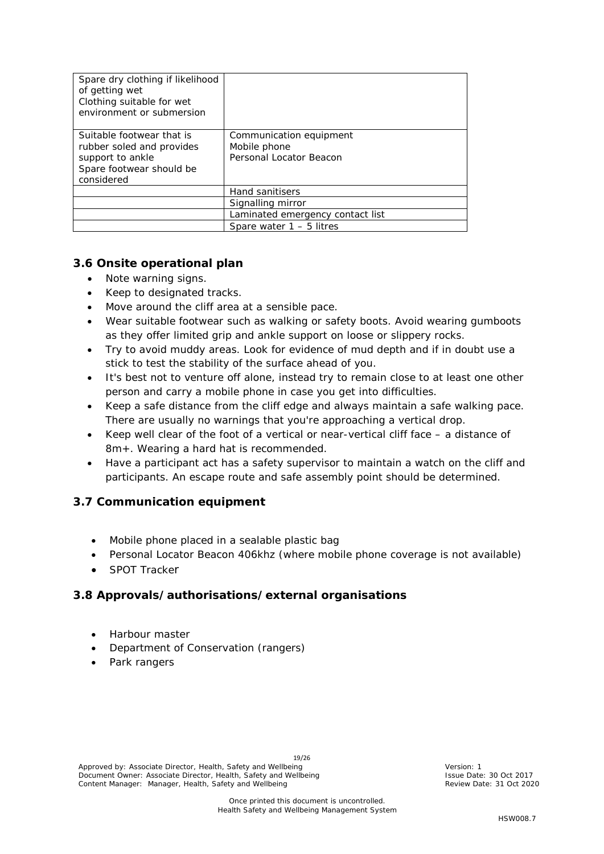| Spare dry clothing if likelihood<br>of getting wet<br>Clothing suitable for wet<br>environment or submersion         |                                                                    |
|----------------------------------------------------------------------------------------------------------------------|--------------------------------------------------------------------|
| Suitable footwear that is<br>rubber soled and provides<br>support to ankle<br>Spare footwear should be<br>considered | Communication equipment<br>Mobile phone<br>Personal Locator Beacon |
|                                                                                                                      | Hand sanitisers                                                    |
|                                                                                                                      | Signalling mirror                                                  |
|                                                                                                                      | Laminated emergency contact list                                   |
|                                                                                                                      | Spare water $1 - 5$ litres                                         |

# <span id="page-18-0"></span>**3.6 Onsite operational plan**

- Note warning signs.
- Keep to designated tracks.
- Move around the cliff area at a sensible pace.
- Wear suitable footwear such as walking or safety boots. Avoid wearing gumboots as they offer limited grip and ankle support on loose or slippery rocks.
- Try to avoid muddy areas. Look for evidence of mud depth and if in doubt use a stick to test the stability of the surface ahead of you.
- It's best not to venture off alone, instead try to remain close to at least one other person and carry a mobile phone in case you get into difficulties.
- Keep a safe distance from the cliff edge and always maintain a safe walking pace. There are usually no warnings that you're approaching a vertical drop.
- Keep well clear of the foot of a vertical or near-vertical cliff face a distance of 8m+. Wearing a hard hat is recommended.
- Have a participant act has a safety supervisor to maintain a watch on the cliff and participants. An escape route and safe assembly point should be determined.

#### <span id="page-18-1"></span>**3.7 Communication equipment**

- Mobile phone placed in a sealable plastic bag
- Personal Locator Beacon 406khz (where mobile phone coverage is not available)
- SPOT Tracker

#### <span id="page-18-2"></span>**3.8 Approvals/authorisations/external organisations**

- Harbour master
- Department of Conservation (rangers)
- Park rangers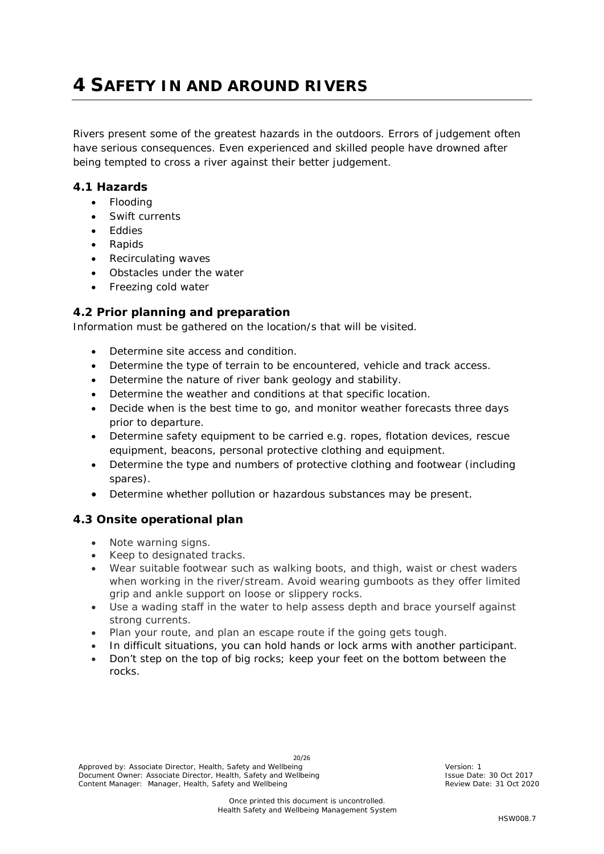# <span id="page-19-0"></span>**4 SAFETY IN AND AROUND RIVERS**

Rivers present some of the greatest hazards in the outdoors. Errors of judgement often have serious consequences. Even experienced and skilled people have drowned after being tempted to cross a river against their better judgement.

#### <span id="page-19-1"></span>**4.1 Hazards**

- Flooding
- Swift currents
- Eddies
- Rapids
- Recirculating waves
- Obstacles under the water
- Freezing cold water

# <span id="page-19-2"></span>**4.2 Prior planning and preparation**

Information must be gathered on the location/s that will be visited.

- Determine site access and condition.
- Determine the type of terrain to be encountered, vehicle and track access.
- Determine the nature of river bank geology and stability.
- Determine the weather and conditions at that specific location.
- Decide when is the best time to go, and monitor weather forecasts three days prior to departure.
- Determine safety equipment to be carried e.g. ropes, flotation devices, rescue equipment, beacons, personal protective clothing and equipment.
- Determine the type and numbers of protective clothing and footwear (including spares).
- Determine whether pollution or hazardous substances may be present.

# <span id="page-19-3"></span>**4.3 Onsite operational plan**

- Note warning signs.
- Keep to designated tracks.
- Wear suitable footwear such as walking boots, and thigh, waist or chest waders when working in the river/stream. Avoid wearing gumboots as they offer limited grip and ankle support on loose or slippery rocks.
- Use a wading staff in the water to help assess depth and brace yourself against strong currents.
- Plan your route, and plan an escape route if the going gets tough.
- In difficult situations, you can hold hands or lock arms with another participant.
- Don't step on the top of big rocks; keep your feet on the bottom between the rocks.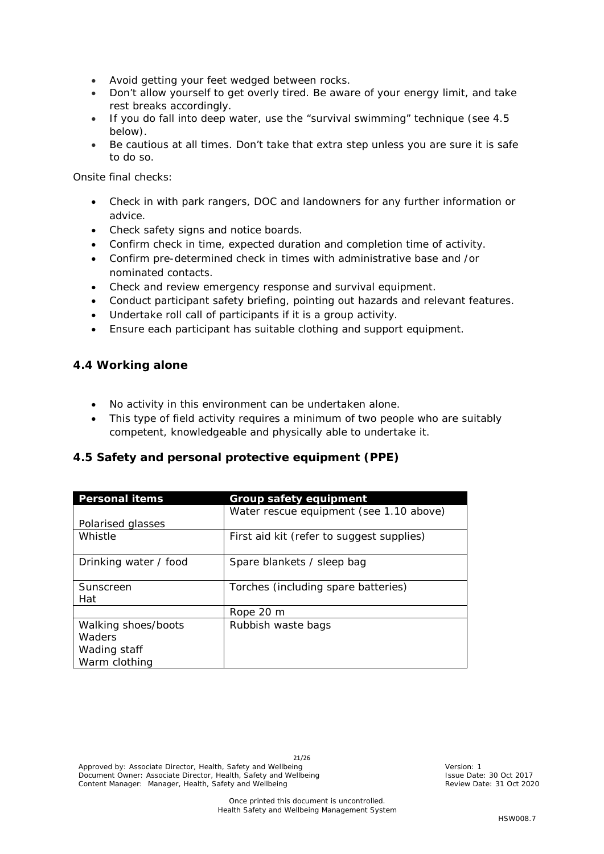- Avoid getting your feet wedged between rocks.
- Don't allow yourself to get overly tired. Be aware of your energy limit, and take rest breaks accordingly.
- If you do fall into deep water, use the "survival swimming" technique (see 4.5 below).
- Be cautious at all times. Don't take that extra step unless you are sure it is safe to do so.

Onsite final checks:

- Check in with park rangers, DOC and landowners for any further information or advice.
- Check safety signs and notice boards.
- Confirm check in time, expected duration and completion time of activity.
- Confirm pre-determined check in times with administrative base and /or nominated contacts.
- Check and review emergency response and survival equipment.
- Conduct participant safety briefing, pointing out hazards and relevant features.
- Undertake roll call of participants if it is a group activity.
- Ensure each participant has suitable clothing and support equipment.

#### <span id="page-20-0"></span>**4.4 Working alone**

- No activity in this environment can be undertaken alone.
- This type of field activity requires a minimum of two people who are suitably competent, knowledgeable and physically able to undertake it.

# <span id="page-20-1"></span>**4.5 Safety and personal protective equipment (PPE)**

| <b>Personal items</b> | <b>Group safety equipment</b>             |
|-----------------------|-------------------------------------------|
|                       | Water rescue equipment (see 1.10 above)   |
| Polarised glasses     |                                           |
| Whistle               | First aid kit (refer to suggest supplies) |
| Drinking water / food | Spare blankets / sleep bag                |
| Sunscreen             | Torches (including spare batteries)       |
| Hat                   |                                           |
|                       | Rope 20 m                                 |
| Walking shoes/boots   | Rubbish waste bags                        |
| Waders                |                                           |
| Wading staff          |                                           |
| Warm clothing         |                                           |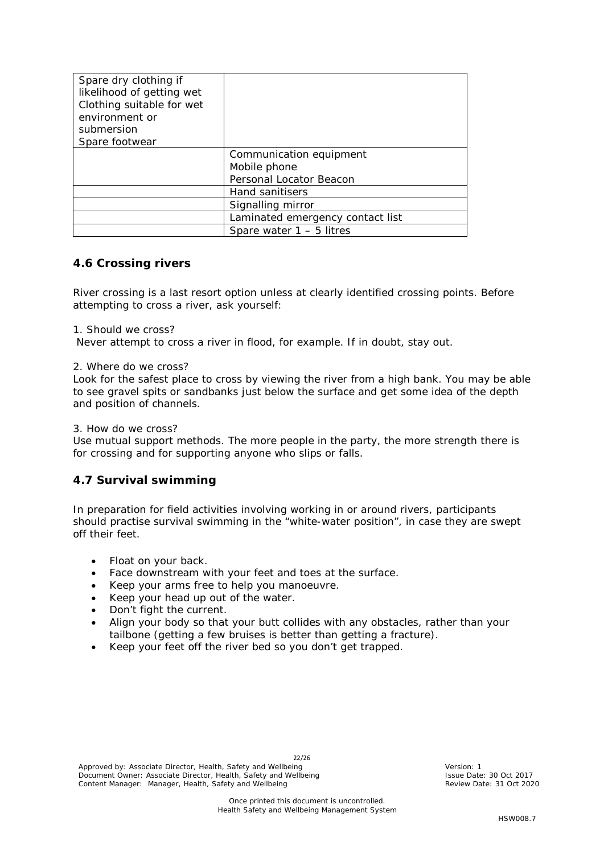| Spare dry clothing if<br>likelihood of getting wet<br>Clothing suitable for wet<br>environment or<br>submersion<br>Spare footwear |                                  |
|-----------------------------------------------------------------------------------------------------------------------------------|----------------------------------|
|                                                                                                                                   | Communication equipment          |
|                                                                                                                                   | Mobile phone                     |
|                                                                                                                                   | Personal Locator Beacon          |
|                                                                                                                                   | Hand sanitisers                  |
|                                                                                                                                   | Signalling mirror                |
|                                                                                                                                   | Laminated emergency contact list |
|                                                                                                                                   | Spare water $1 - 5$ litres       |

#### <span id="page-21-0"></span>**4.6 Crossing rivers**

River crossing is a last resort option unless at clearly identified crossing points. Before attempting to cross a river, ask yourself:

1. Should we cross?

Never attempt to cross a river in flood, for example. If in doubt, stay out.

#### 2. Where do we cross?

Look for the safest place to cross by viewing the river from a high bank. You may be able to see gravel spits or sandbanks just below the surface and get some idea of the depth and position of channels.

#### 3. How do we cross?

Use mutual support methods. The more people in the party, the more strength there is for crossing and for supporting anyone who slips or falls.

#### <span id="page-21-1"></span>**4.7 Survival swimming**

In preparation for field activities involving working in or around rivers, participants should practise survival swimming in the "white-water position", in case they are swept off their feet.

- Float on your back.
- Face downstream with your feet and toes at the surface.
- Keep your arms free to help you manoeuvre.
- Keep your head up out of the water.
- Don't fight the current.
- Align your body so that your butt collides with any obstacles, rather than your tailbone (getting a few bruises is better than getting a fracture).
- Keep your feet off the river bed so you don't get trapped.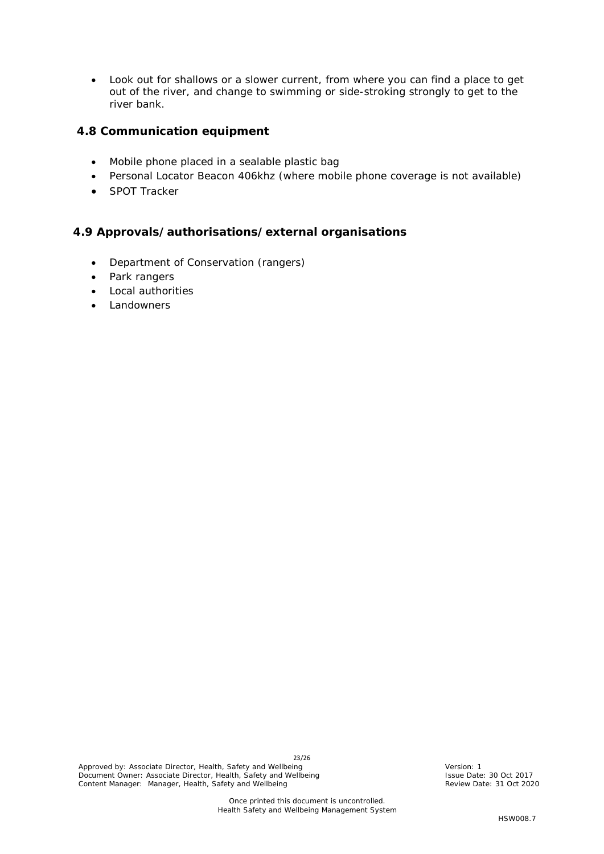• Look out for shallows or a slower current, from where you can find a place to get out of the river, and change to swimming or side-stroking strongly to get to the river bank.

#### <span id="page-22-0"></span>**4.8 Communication equipment**

- Mobile phone placed in a sealable plastic bag
- Personal Locator Beacon 406khz (where mobile phone coverage is not available)
- SPOT Tracker

#### <span id="page-22-1"></span>**4.9 Approvals/authorisations/external organisations**

- Department of Conservation (rangers)
- Park rangers
- Local authorities
- <span id="page-22-2"></span>**Landowners**

23/26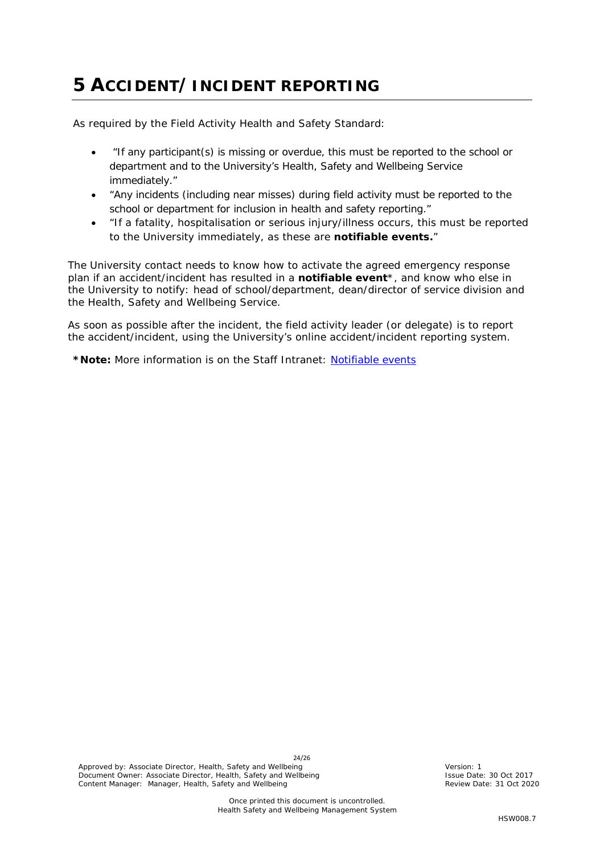# **5 ACCIDENT/INCIDENT REPORTING**

As required by the Field Activity Health and Safety Standard:

- *"If any participant(s) is missing or overdue, this must be reported to the school or department and to the University's Health, Safety and Wellbeing Service immediately."*
- *"Any incidents (including near misses) during field activity must be reported to the school or department for inclusion in health and safety reporting."*
- *"If a fatality, hospitalisation or serious injury/illness occurs, this must be reported to the University immediately, as these are notifiable events."*

The University contact needs to know how to activate the agreed emergency response plan if an accident/incident has resulted in a **notifiable event**\*, and know who else in the University to notify: head of school/department, dean/director of service division and the Health, Safety and Wellbeing Service.

As soon as possible after the incident, the field activity leader (or delegate) is to report the accident/incident, using the University's online accident/incident reporting system.

**\*Note:** More information is on the Staff Intranet: [Notifiable events](https://www.staff.auckland.ac.nz/en/human-resources/health-safety-and-wellbeing/accident-reporting-and-investigation/definitions-of-serious-harm1.html)

24/26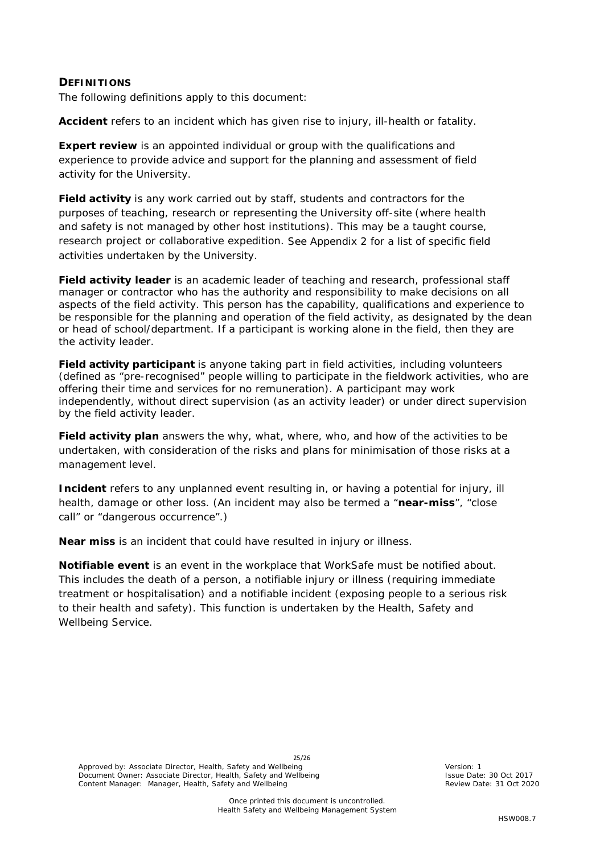#### <span id="page-24-0"></span>**DEFINITIONS**

The following definitions apply to this document:

**Accident** refers to an incident which has given rise to injury, ill-health or fatality.

**Expert review** is an appointed individual or group with the qualifications and experience to provide advice and support for the planning and assessment of field activity for the University.

**Field activity** is any work carried out by staff, students and contractors for the purposes of teaching, research or representing the University off-site (where health and safety is not managed by other host institutions). This may be a taught course, research project or collaborative expedition. See Appendix 2 for a list of specific field activities undertaken by the University.

**Field activity leader** is an academic leader of teaching and research, professional staff manager or contractor who has the authority and responsibility to make decisions on all aspects of the field activity. This person has the capability, qualifications and experience to be responsible for the planning and operation of the field activity, as designated by the dean or head of school/department. If a participant is working alone in the field, then they are the activity leader.

**Field activity participant** is anyone taking part in field activities, including volunteers (defined as "pre-recognised" people willing to participate in the fieldwork activities, who are offering their time and services for no remuneration). A participant may work independently, without direct supervision (as an activity leader) or under direct supervision by the field activity leader.

**Field activity plan** answers the why, what, where, who, and how of the activities to be undertaken, with consideration of the risks and plans for minimisation of those risks at a management level.

**Incident** refers to any unplanned event resulting in, or having a potential for injury, ill health, damage or other loss. (An incident may also be termed a "**near-miss**", "close call" or "dangerous occurrence".)

**Near miss** is an incident that could have resulted in injury or illness.

**Notifiable event** is an event in the workplace that WorkSafe must be notified about. This includes the death of a person, a notifiable injury or illness (requiring immediate treatment or hospitalisation) and a notifiable incident (exposing people to a serious risk to their health and safety). This function is undertaken by the Health, Safety and Wellbeing Service.